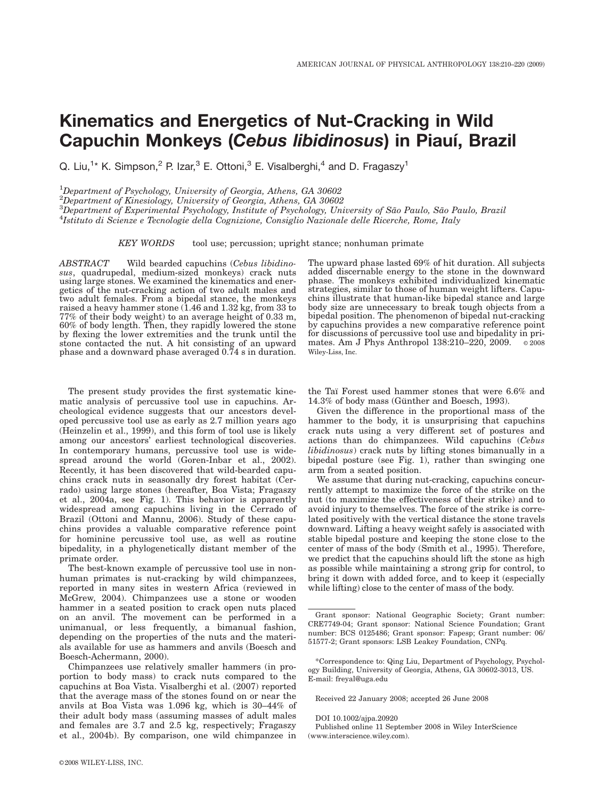# Kinematics and Energetics of Nut-Cracking in Wild Capuchin Monkeys (Cebus libidinosus) in Piauí, Brazil

Q. Liu,<sup>1</sup>\* K. Simpson,<sup>2</sup> P. Izar,<sup>3</sup> E. Ottoni,<sup>3</sup> E. Visalberghi,<sup>4</sup> and D. Fragaszy<sup>1</sup>

<sup>1</sup>Department of Psychology, University of Georgia, Athens, GA 30602

<sup>2</sup>Department of Kinesiology, University of Georgia, Athens, GA 30602

 ${}^{3}$ Department of Experimental Psychology, Institute of Psychology, University of São Paulo, São Paulo, Brazil  ${}^{4}$ Ietituto di Sejanze e Translagia della Cogniziona Consiglio Nazionale della Bierreke, Bome, Italy <sup>4</sup>Istituto di Scienze e Tecnologie della Cognizione, Consiglio Nazionale delle Ricerche, Rome, Italy

KEY WORDS tool use; percussion; upright stance; nonhuman primate

ABSTRACT Wild bearded capuchins (Cebus libidino-<br>sus, quadrupedal, medium-sized monkeys) crack nuts using large stones. We examined the kinematics and energetics of the nut-cracking action of two adult males and two adult females. From a bipedal stance, the monkeys raised a heavy hammer stone (1.46 and 1.32 kg, from 33 to 77% of their body weight) to an average height of 0.33 m, 60% of body length. Then, they rapidly lowered the stone by flexing the lower extremities and the trunk until the stone contacted the nut. A hit consisting of an upward phase and a downward phase averaged 0.74 s in duration.

The present study provides the first systematic kinematic analysis of percussive tool use in capuchins. Archeological evidence suggests that our ancestors developed percussive tool use as early as 2.7 million years ago (Heinzelin et al., 1999), and this form of tool use is likely among our ancestors' earliest technological discoveries. In contemporary humans, percussive tool use is widespread around the world (Goren-Inbar et al., 2002). Recently, it has been discovered that wild-bearded capuchins crack nuts in seasonally dry forest habitat (Cerrado) using large stones (hereafter, Boa Vista; Fragaszy et al., 2004a, see Fig. 1). This behavior is apparently widespread among capuchins living in the Cerrado of Brazil (Ottoni and Mannu, 2006). Study of these capuchins provides a valuable comparative reference point for hominine percussive tool use, as well as routine bipedality, in a phylogenetically distant member of the primate order.

The best-known example of percussive tool use in nonhuman primates is nut-cracking by wild chimpanzees, reported in many sites in western Africa (reviewed in McGrew, 2004). Chimpanzees use a stone or wooden hammer in a seated position to crack open nuts placed on an anvil. The movement can be performed in a unimanual, or less frequently, a bimanual fashion, depending on the properties of the nuts and the materials available for use as hammers and anvils (Boesch and Boesch-Achermann, 2000).

Chimpanzees use relatively smaller hammers (in proportion to body mass) to crack nuts compared to the capuchins at Boa Vista. Visalberghi et al. (2007) reported that the average mass of the stones found on or near the anvils at Boa Vista was 1.096 kg, which is 30–44% of their adult body mass (assuming masses of adult males and females are 3.7 and 2.5 kg, respectively; Fragaszy et al., 2004b). By comparison, one wild chimpanzee in The upward phase lasted 69% of hit duration. All subjects added discernable energy to the stone in the downward phase. The monkeys exhibited individualized kinematic strategies, similar to those of human weight lifters. Capuchins illustrate that human-like bipedal stance and large body size are unnecessary to break tough objects from a bipedal position. The phenomenon of bipedal nut-cracking by capuchins provides a new comparative reference point for discussions of percussive tool use and bipedality in primates. Am J Phys Anthropol  $138:210-220$ ,  $2009$ .  $\circ$  2008 Wiley-Liss, Inc.

the Taı¨ Forest used hammer stones that were 6.6% and 14.3% of body mass (Günther and Boesch, 1993).

Given the difference in the proportional mass of the hammer to the body, it is unsurprising that capuchins crack nuts using a very different set of postures and actions than do chimpanzees. Wild capuchins (Cebus libidinosus) crack nuts by lifting stones bimanually in a bipedal posture (see Fig. 1), rather than swinging one arm from a seated position.

We assume that during nut-cracking, capuchins concurrently attempt to maximize the force of the strike on the nut (to maximize the effectiveness of their strike) and to avoid injury to themselves. The force of the strike is correlated positively with the vertical distance the stone travels downward. Lifting a heavy weight safely is associated with stable bipedal posture and keeping the stone close to the center of mass of the body (Smith et al., 1995). Therefore, we predict that the capuchins should lift the stone as high as possible while maintaining a strong grip for control, to bring it down with added force, and to keep it (especially while lifting) close to the center of mass of the body.

Received 22 January 2008; accepted 26 June 2008

DOI 10.1002/ajpa.20920

Grant sponsor: National Geographic Society; Grant number: CRE7749-04; Grant sponsor: National Science Foundation; Grant number: BCS 0125486; Grant sponsor: Fapesp; Grant number: 06/ 51577-2; Grant sponsors: LSB Leakey Foundation, CNPq.

<sup>\*</sup>Correspondence to: Qing Liu, Department of Psychology, Psychology Building, University of Georgia, Athens, GA 30602-3013, US. E-mail: freyal@uga.edu

Published online 11 September 2008 in Wiley InterScience (www.interscience.wiley.com).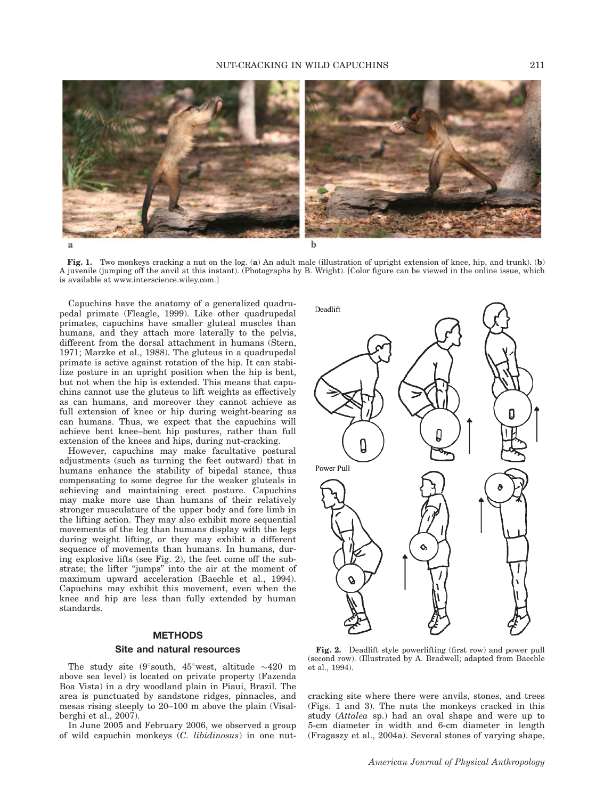

Fig. 1. Two monkeys cracking a nut on the log. (a) An adult male (illustration of upright extension of knee, hip, and trunk). (b) A juvenile (jumping off the anvil at this instant). (Photographs by B. Wright). [Color figure can be viewed in the online issue, which is available at www.interscience.wiley.com.]

Capuchins have the anatomy of a generalized quadrupedal primate (Fleagle, 1999). Like other quadrupedal primates, capuchins have smaller gluteal muscles than humans, and they attach more laterally to the pelvis, different from the dorsal attachment in humans (Stern, 1971; Marzke et al., 1988). The gluteus in a quadrupedal primate is active against rotation of the hip. It can stabilize posture in an upright position when the hip is bent, but not when the hip is extended. This means that capuchins cannot use the gluteus to lift weights as effectively as can humans, and moreover they cannot achieve as full extension of knee or hip during weight-bearing as can humans. Thus, we expect that the capuchins will achieve bent knee–bent hip postures, rather than full extension of the knees and hips, during nut-cracking.

However, capuchins may make facultative postural adjustments (such as turning the feet outward) that in humans enhance the stability of bipedal stance, thus compensating to some degree for the weaker gluteals in achieving and maintaining erect posture. Capuchins may make more use than humans of their relatively stronger musculature of the upper body and fore limb in the lifting action. They may also exhibit more sequential movements of the leg than humans display with the legs during weight lifting, or they may exhibit a different sequence of movements than humans. In humans, during explosive lifts (see Fig. 2), the feet come off the substrate; the lifter "jumps" into the air at the moment of maximum upward acceleration (Baechle et al., 1994). Capuchins may exhibit this movement, even when the knee and hip are less than fully extended by human standards.

# METHODS

#### Site and natural resources

The study site (9°south, 45°west, altitude  $\sim$ 420 m above sea level) is located on private property (Fazenda Boa Vista) in a dry woodland plain in Piauí, Brazil. The area is punctuated by sandstone ridges, pinnacles, and mesas rising steeply to 20–100 m above the plain (Visalberghi et al., 2007).

In June 2005 and February 2006, we observed a group of wild capuchin monkeys (C. libidinosus) in one nut-



Fig. 2. Deadlift style powerlifting (first row) and power pull (second row). (Illustrated by A. Bradwell; adapted from Baechle et al., 1994).

cracking site where there were anvils, stones, and trees (Figs. 1 and 3). The nuts the monkeys cracked in this study (Attalea sp.) had an oval shape and were up to 5-cm diameter in width and 6-cm diameter in length (Fragaszy et al., 2004a). Several stones of varying shape,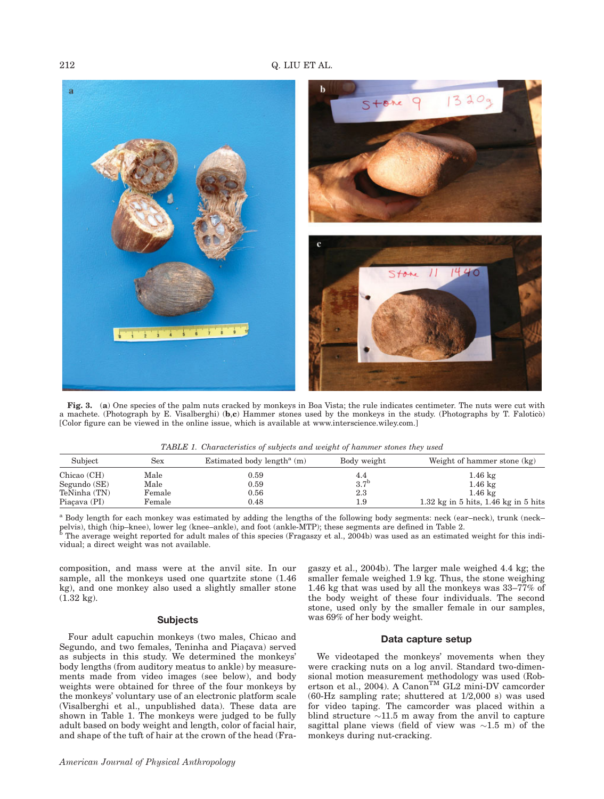212 Q. LIU ET AL.



Fig. 3. (a) One species of the palm nuts cracked by monkeys in Boa Vista; the rule indicates centimeter. The nuts were cut with a machete. (Photograph by E. Visalberghi) (b,c) Hammer stones used by the monkeys in the study. (Photographs by T. Falotico`) [Color figure can be viewed in the online issue, which is available at www.interscience.wiley.com.]

|  | TABLE 1. Characteristics of subjects and weight of hammer stones they used |  |  |  |  |
|--|----------------------------------------------------------------------------|--|--|--|--|
|--|----------------------------------------------------------------------------|--|--|--|--|

| Subject                                     | Sex                    | Estimated body length <sup>a</sup> $(m)$ | Body weight                    | Weight of hammer stone (kg)                                 |
|---------------------------------------------|------------------------|------------------------------------------|--------------------------------|-------------------------------------------------------------|
| Chicao (CH)<br>Segundo (SE)<br>TeNinha (TN) | Male<br>Male<br>Female | $\rm 0.59$<br>0.59<br>0.56               | 4.4<br>3.7 <sup>b</sup><br>2.3 | $1.46 \text{ kg}$<br>$1.46 \text{ kg}$<br>$1.46 \text{ kg}$ |
| Piacava (PI)                                | Female                 | 0.48                                     | $1.9\,$                        | $1.32 \text{ kg}$ in 5 hits, 1.46 kg in 5 hits              |

<sup>a</sup> Body length for each monkey was estimated by adding the lengths of the following body segments: neck (ear–neck), trunk (neck– pelvis), thigh (hip–knee), lower leg (knee–ankle), and foot (ankle-MTP); these segments are defined in Table 2.<br><sup>b</sup> The average weight reported for adult males of this species (Fragaszy et al., 2004b) was used as an estima vidual; a direct weight was not available.

composition, and mass were at the anvil site. In our sample, all the monkeys used one quartzite stone (1.46 kg), and one monkey also used a slightly smaller stone (1.32 kg).

# **Subjects**

Four adult capuchin monkeys (two males, Chicao and Segundo, and two females, Teninha and Piaçava) served as subjects in this study. We determined the monkeys' body lengths (from auditory meatus to ankle) by measurements made from video images (see below), and body weights were obtained for three of the four monkeys by the monkeys' voluntary use of an electronic platform scale (Visalberghi et al., unpublished data). These data are shown in Table 1. The monkeys were judged to be fully adult based on body weight and length, color of facial hair, and shape of the tuft of hair at the crown of the head (Fra-

gaszy et al., 2004b). The larger male weighed 4.4 kg; the smaller female weighed 1.9 kg. Thus, the stone weighing 1.46 kg that was used by all the monkeys was 33–77% of the body weight of these four individuals. The second stone, used only by the smaller female in our samples, was 69% of her body weight.

# Data capture setup

We videotaped the monkeys' movements when they were cracking nuts on a log anvil. Standard two-dimensional motion measurement methodology was used (Rob-<br>ertson et al., 2004). A Canon™ GL2 mini-DV camcorder (60-Hz sampling rate; shuttered at 1/2,000 s) was used for video taping. The camcorder was placed within a blind structure  $\sim$ 11.5 m away from the anvil to capture sagittal plane views (field of view was  $\sim$ 1.5 m) of the monkeys during nut-cracking.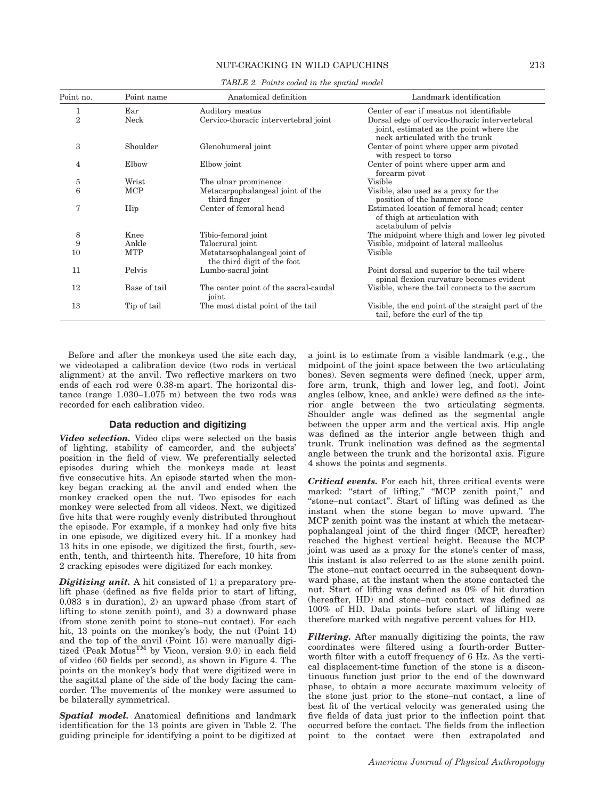## NUT-CRACKING IN WILD CAPUCHINS 213

| TABLE 2. Points coded in the spatial model |
|--------------------------------------------|
|--------------------------------------------|

| Point no.      | Point name   | Anatomical definition                                       | Landmark identification                                                                                                      |
|----------------|--------------|-------------------------------------------------------------|------------------------------------------------------------------------------------------------------------------------------|
| 1              | Ear          | Auditory meatus                                             | Center of ear if meatus not identifiable                                                                                     |
| $\overline{2}$ | Neck         | Cervico-thoracic intervertebral joint                       | Dorsal edge of cervico-thoracic intervertebral<br>joint, estimated as the point where the<br>neck articulated with the trunk |
| 3              | Shoulder     | Glenohumeral joint                                          | Center of point where upper arm pivoted<br>with respect to torso                                                             |
| 4              | Elbow        | Elbow joint                                                 | Center of point where upper arm and<br>forearm pivot                                                                         |
| 5              | Wrist        | The ulnar prominence                                        | <b>Visible</b>                                                                                                               |
| 6              | MCP          | Metacarpophalangeal joint of the<br>third finger            | Visible, also used as a proxy for the<br>position of the hammer stone                                                        |
| 7              | Hip          | Center of femoral head                                      | Estimated location of femoral head; center<br>of thigh at articulation with<br>acetabulum of pelvis                          |
| 8              | Knee         | Tibio-femoral joint                                         | The midpoint where thigh and lower leg pivoted                                                                               |
| 9              | Ankle        | Talocrural joint                                            | Visible, midpoint of lateral malleolus                                                                                       |
| 10             | <b>MTP</b>   | Metatarsophalangeal joint of<br>the third digit of the foot | Visible                                                                                                                      |
| 11             | Pelvis       | Lumbo-sacral joint                                          | Point dorsal and superior to the tail where<br>spinal flexion curvature becomes evident                                      |
| 12             | Base of tail | The center point of the sacral-caudal<br>joint              | Visible, where the tail connects to the sacrum                                                                               |
| 13             | Tip of tail  | The most distal point of the tail                           | Visible, the end point of the straight part of the<br>tail, before the curl of the tip                                       |

Before and after the monkeys used the site each day, we videotaped a calibration device (two rods in vertical alignment) at the anvil. Two reflective markers on two ends of each rod were 0.38-m apart. The horizontal distance (range 1.030–1.075 m) between the two rods was recorded for each calibration video.

# Data reduction and digitizing

Video selection. Video clips were selected on the basis of lighting, stability of camcorder, and the subjects' position in the field of view. We preferentially selected episodes during which the monkeys made at least five consecutive hits. An episode started when the monkey began cracking at the anvil and ended when the monkey cracked open the nut. Two episodes for each monkey were selected from all videos. Next, we digitized five hits that were roughly evenly distributed throughout the episode. For example, if a monkey had only five hits in one episode, we digitized every hit. If a monkey had 13 hits in one episode, we digitized the first, fourth, seventh, tenth, and thirteenth hits. Therefore, 10 hits from 2 cracking episodes were digitized for each monkey.

**Digitizing unit.** A hit consisted of 1) a preparatory prelift phase (defined as five fields prior to start of lifting, 0.083 s in duration), 2) an upward phase (from start of lifting to stone zenith point), and 3) a downward phase (from stone zenith point to stone–nut contact). For each hit, 13 points on the monkey's body, the nut (Point 14) and the top of the anvil (Point 15) were manually digitized (Peak Motus<sup>TM</sup> by Vicon, version 9.0) in each field of video (60 fields per second), as shown in Figure 4. The points on the monkey's body that were digitized were in the sagittal plane of the side of the body facing the camcorder. The movements of the monkey were assumed to be bilaterally symmetrical.

Spatial model. Anatomical definitions and landmark identification for the 13 points are given in Table 2. The guiding principle for identifying a point to be digitized at a joint is to estimate from a visible landmark (e.g., the midpoint of the joint space between the two articulating bones). Seven segments were defined (neck, upper arm, fore arm, trunk, thigh and lower leg, and foot). Joint angles (elbow, knee, and ankle) were defined as the interior angle between the two articulating segments. Shoulder angle was defined as the segmental angle between the upper arm and the vertical axis. Hip angle was defined as the interior angle between thigh and trunk. Trunk inclination was defined as the segmental angle between the trunk and the horizontal axis. Figure 4 shows the points and segments.

Critical events. For each hit, three critical events were marked: "start of lifting," "MCP zenith point," and "stone–nut contact". Start of lifting was defined as the instant when the stone began to move upward. The MCP zenith point was the instant at which the metacarpophalangeal joint of the third finger (MCP, hereafter) reached the highest vertical height. Because the MCP joint was used as a proxy for the stone's center of mass, this instant is also referred to as the stone zenith point. The stone–nut contact occurred in the subsequent downward phase, at the instant when the stone contacted the nut. Start of lifting was defined as 0% of hit duration (hereafter, HD) and stone–nut contact was defined as 100% of HD. Data points before start of lifting were therefore marked with negative percent values for HD.

Filtering. After manually digitizing the points, the raw coordinates were filtered using a fourth-order Butterworth filter with a cutoff frequency of 6 Hz. As the vertical displacement-time function of the stone is a discontinuous function just prior to the end of the downward phase, to obtain a more accurate maximum velocity of the stone just prior to the stone–nut contact, a line of best fit of the vertical velocity was generated using the five fields of data just prior to the inflection point that occurred before the contact. The fields from the inflection point to the contact were then extrapolated and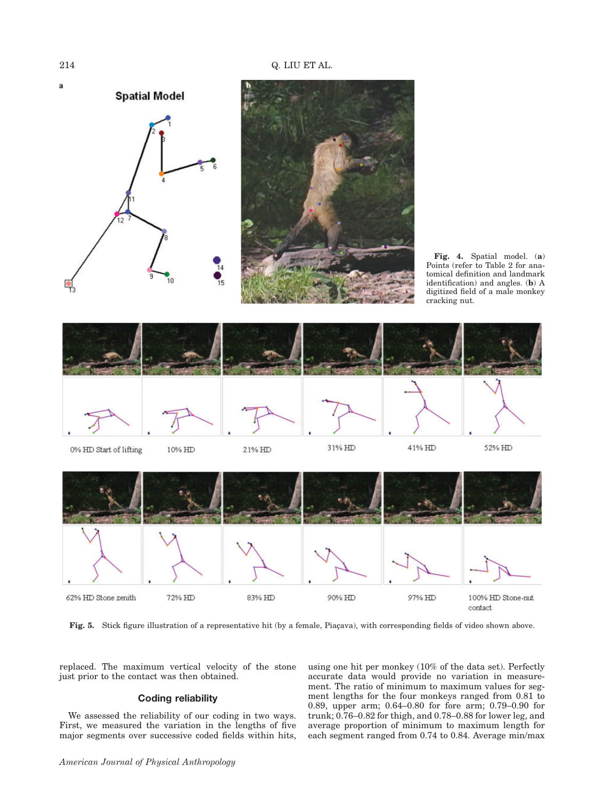214 Q. LIU ET AL.



Fig. 4. Spatial model. (a) Points (refer to Table 2 for anatomical definition and landmark identification) and angles. (b) A digitized field of a male monkey cracking nut.



Fig. 5. Stick figure illustration of a representative hit (by a female, Piacava), with corresponding fields of video shown above.

replaced. The maximum vertical velocity of the stone just prior to the contact was then obtained.

# Coding reliability

We assessed the reliability of our coding in two ways. First, we measured the variation in the lengths of five major segments over successive coded fields within hits, using one hit per monkey (10% of the data set). Perfectly accurate data would provide no variation in measurement. The ratio of minimum to maximum values for segment lengths for the four monkeys ranged from 0.81 to 0.89, upper arm; 0.64–0.80 for fore arm; 0.79–0.90 for trunk; 0.76–0.82 for thigh, and 0.78–0.88 for lower leg, and average proportion of minimum to maximum length for each segment ranged from 0.74 to 0.84. Average min/max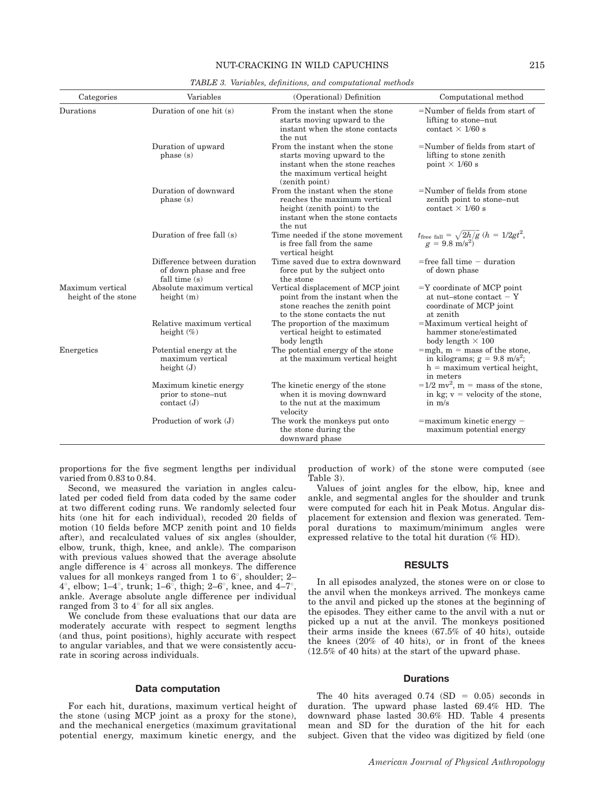#### NUT-CRACKING IN WILD CAPUCHINS 215

| Categories                              | Variables                                                                | (Operational) Definition                                                                                                                          | Computational method                                                                                                           |
|-----------------------------------------|--------------------------------------------------------------------------|---------------------------------------------------------------------------------------------------------------------------------------------------|--------------------------------------------------------------------------------------------------------------------------------|
| Durations                               | Duration of one hit (s)                                                  | From the instant when the stone<br>starts moving upward to the<br>instant when the stone contacts<br>the nut                                      | =Number of fields from start of<br>lifting to stone–nut<br>contact $\times$ 1/60 s                                             |
|                                         | Duration of upward<br>phase(s)                                           | From the instant when the stone<br>starts moving upward to the<br>instant when the stone reaches<br>the maximum vertical height<br>(zenith point) | $=N$ umber of fields from start of<br>lifting to stone zenith.<br>point $\times$ 1/60 s                                        |
|                                         | Duration of downward<br>phase(s)                                         | From the instant when the stone<br>reaches the maximum vertical<br>height (zenith point) to the<br>instant when the stone contacts<br>the nut     | $=N$ umber of fields from stone<br>zenith point to stone-nut<br>contact $\times$ 1/60 s                                        |
|                                         | Duration of free fall (s)                                                | Time needed if the stone movement<br>is free fall from the same<br>vertical height                                                                | $\begin{array}{c} t_{\rm free\ fall} = \sqrt{2 h / g} \ (h \, = \, 1/2 g t^2, \\ g \, = \, 9.8 \ \mathrm{m/s}^2) \end{array}$  |
|                                         | Difference between duration<br>of down phase and free<br>fall time $(s)$ | Time saved due to extra downward<br>force put by the subject onto<br>the stone                                                                    | $=$ free fall time $-$ duration<br>of down phase                                                                               |
| Maximum vertical<br>height of the stone | Absolute maximum vertical<br>height $(m)$                                | Vertical displacement of MCP joint<br>point from the instant when the<br>stone reaches the zenith point<br>to the stone contacts the nut          | $=$ Y coordinate of MCP point<br>at nut-stone contact $-$ Y<br>coordinate of MCP joint<br>at zenith                            |
|                                         | Relative maximum vertical<br>height $(\%)$                               | The proportion of the maximum<br>vertical height to estimated<br>body length                                                                      | $=$ Maximum vertical height of<br>hammer stone/estimated<br>body length $\times$ 100                                           |
| Energetics                              | Potential energy at the<br>maximum vertical<br>height $(J)$              | The potential energy of the stone<br>at the maximum vertical height                                                                               | $=$ mgh, m $=$ mass of the stone,<br>in kilograms; $g = 9.8$ m/s <sup>2</sup> ;<br>$h =$ maximum vertical height,<br>in meters |
|                                         | Maximum kinetic energy<br>prior to stone-nut<br>contact $(J)$            | The kinetic energy of the stone<br>when it is moving downward<br>to the nut at the maximum<br>velocity                                            | $=1/2$ mv <sup>2</sup> , m = mass of the stone,<br>in kg; $v =$ velocity of the stone,<br>in $m/s$                             |
|                                         | Production of work (J)                                                   | The work the monkeys put onto<br>the stone during the<br>downward phase                                                                           | =maximum kinetic energy -<br>maximum potential energy                                                                          |

proportions for the five segment lengths per individual varied from 0.83 to 0.84.

Second, we measured the variation in angles calculated per coded field from data coded by the same coder at two different coding runs. We randomly selected four hits (one hit for each individual), recoded 20 fields of motion (10 fields before MCP zenith point and 10 fields after), and recalculated values of six angles (shoulder, elbow, trunk, thigh, knee, and ankle). The comparison with previous values showed that the average absolute angle difference is  $4^\circ$  across all monkeys. The difference values for all monkeys ranged from 1 to  $6^{\circ}$ , shoulder; 2-4°, elbow; 1–4°, trunk; 1–6°, thigh; 2–6°, knee, and 4–7° ankle. Average absolute angle difference per individual ranged from 3 to  $4^{\circ}$  for all six angles.

We conclude from these evaluations that our data are moderately accurate with respect to segment lengths (and thus, point positions), highly accurate with respect to angular variables, and that we were consistently accurate in scoring across individuals.

# Data computation

For each hit, durations, maximum vertical height of the stone (using MCP joint as a proxy for the stone), and the mechanical energetics (maximum gravitational potential energy, maximum kinetic energy, and the production of work) of the stone were computed (see Table 3).

Values of joint angles for the elbow, hip, knee and ankle, and segmental angles for the shoulder and trunk were computed for each hit in Peak Motus. Angular displacement for extension and flexion was generated. Temporal durations to maximum/minimum angles were expressed relative to the total hit duration (% HD).

# **RESULTS**

In all episodes analyzed, the stones were on or close to the anvil when the monkeys arrived. The monkeys came to the anvil and picked up the stones at the beginning of the episodes. They either came to the anvil with a nut or picked up a nut at the anvil. The monkeys positioned their arms inside the knees (67.5% of 40 hits), outside the knees (20% of 40 hits), or in front of the knees (12.5% of 40 hits) at the start of the upward phase.

#### **Durations**

The 40 hits averaged  $0.74$  (SD = 0.05) seconds in duration. The upward phase lasted 69.4% HD. The downward phase lasted 30.6% HD. Table 4 presents mean and SD for the duration of the hit for each subject. Given that the video was digitized by field (one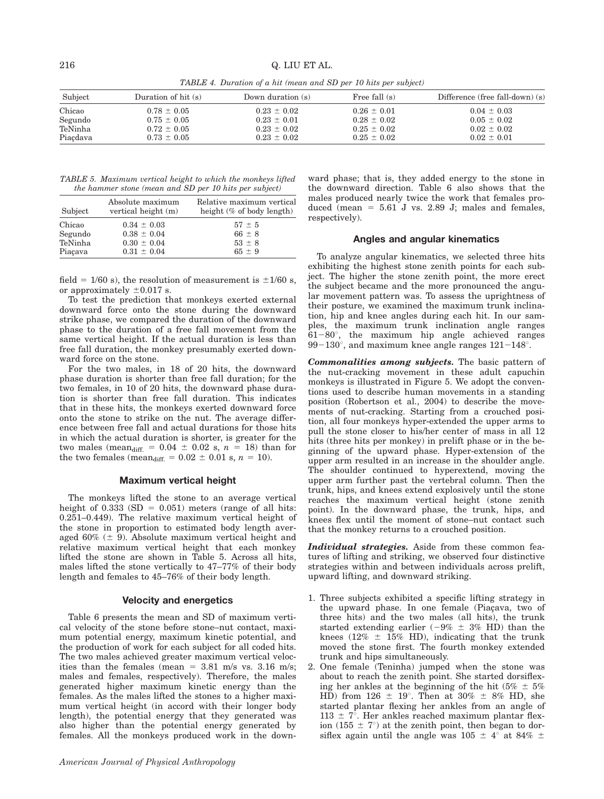TABLE 4. Duration of a hit (mean and SD per 10 hits per subject)

| Subject  | Duration of hit $(s)$ | Down duration (s) | Free fall (s)   | Difference (free fall-down) $(s)$ |
|----------|-----------------------|-------------------|-----------------|-----------------------------------|
| Chicao   | $0.78 \pm 0.05$       | $0.23 \pm 0.02$   | $0.26 \pm 0.01$ | $0.04 \pm 0.03$                   |
| Segundo  | $0.75 \pm 0.05$       | $0.23 \pm 0.01$   | $0.28 \pm 0.02$ | $0.05 \pm 0.02$                   |
| TeNinha  | $0.72 \pm 0.05$       | $0.23 \pm 0.02$   | $0.25 \pm 0.02$ | $0.02 \pm 0.02$                   |
| Piacdava | $0.73 \pm 0.05$       | $0.23 \pm 0.02$   | $0.25 \pm 0.02$ | $0.02 \pm 0.01$                   |

TABLE 5. Maximum vertical height to which the monkeys lifted the hammer stone (mean and SD per 10 hits per subject)

| Subject | Absolute maximum<br>vertical height (m) | Relative maximum vertical<br>height $(\%$ of body length) |
|---------|-----------------------------------------|-----------------------------------------------------------|
| Chicao  | $0.34 \pm 0.03$                         | $57 \pm 5$                                                |
| Segundo | $0.38 \pm 0.04$                         | $66 \pm 8$                                                |
| TeNinha | $0.30 \pm 0.04$                         | $53 \pm 8$                                                |
| Piacava | $0.31 \pm 0.04$                         | $65 \pm 9$                                                |

field = 1/60 s), the resolution of measurement is  $\pm$ 1/60 s, or approximately  $\pm 0.017$  s.

To test the prediction that monkeys exerted external downward force onto the stone during the downward strike phase, we compared the duration of the downward phase to the duration of a free fall movement from the same vertical height. If the actual duration is less than free fall duration, the monkey presumably exerted downward force on the stone.

For the two males, in 18 of 20 hits, the downward phase duration is shorter than free fall duration; for the two females, in 10 of 20 hits, the downward phase duration is shorter than free fall duration. This indicates that in these hits, the monkeys exerted downward force onto the stone to strike on the nut. The average difference between free fall and actual durations for those hits in which the actual duration is shorter, is greater for the two males (mean<sub>diff.</sub> =  $0.04 \pm 0.02$  s,  $n = 18$ ) than for the two females (mean<sub>diff.</sub> =  $0.02 \pm 0.01$  s, n = 10).

#### Maximum vertical height

The monkeys lifted the stone to an average vertical height of  $0.333$  (SD =  $0.051$ ) meters (range of all hits: 0.251–0.449). The relative maximum vertical height of the stone in proportion to estimated body length averaged 60%  $(± 9)$ . Absolute maximum vertical height and relative maximum vertical height that each monkey lifted the stone are shown in Table 5. Across all hits, males lifted the stone vertically to 47–77% of their body length and females to 45–76% of their body length.

#### Velocity and energetics

Table 6 presents the mean and SD of maximum vertical velocity of the stone before stone–nut contact, maximum potential energy, maximum kinetic potential, and the production of work for each subject for all coded hits. The two males achieved greater maximum vertical velocities than the females (mean =  $3.81$  m/s vs.  $3.16$  m/s; males and females, respectively). Therefore, the males generated higher maximum kinetic energy than the females. As the males lifted the stones to a higher maximum vertical height (in accord with their longer body length), the potential energy that they generated was also higher than the potential energy generated by females. All the monkeys produced work in the downward phase; that is, they added energy to the stone in the downward direction. Table 6 also shows that the males produced nearly twice the work that females produced (mean  $= 5.61$  J vs. 2.89 J; males and females, respectively).

#### Angles and angular kinematics

To analyze angular kinematics, we selected three hits exhibiting the highest stone zenith points for each subject. The higher the stone zenith point, the more erect the subject became and the more pronounced the angular movement pattern was. To assess the uprightness of their posture, we examined the maximum trunk inclination, hip and knee angles during each hit. In our samples, the maximum trunk inclination angle ranges  $61-80^\circ$ , the maximum hip angle achieved ranges 99-130 $^{\circ}$ , and maximum knee angle ranges 121-148 $^{\circ}$ .

Commonalities among subjects. The basic pattern of the nut-cracking movement in these adult capuchin monkeys is illustrated in Figure 5. We adopt the conventions used to describe human movements in a standing position (Robertson et al., 2004) to describe the movements of nut-cracking. Starting from a crouched position, all four monkeys hyper-extended the upper arms to pull the stone closer to his/her center of mass in all 12 hits (three hits per monkey) in prelift phase or in the beginning of the upward phase. Hyper-extension of the upper arm resulted in an increase in the shoulder angle. The shoulder continued to hyperextend, moving the upper arm further past the vertebral column. Then the trunk, hips, and knees extend explosively until the stone reaches the maximum vertical height (stone zenith point). In the downward phase, the trunk, hips, and knees flex until the moment of stone–nut contact such that the monkey returns to a crouched position.

Individual strategies. Aside from these common features of lifting and striking, we observed four distinctive strategies within and between individuals across prelift, upward lifting, and downward striking.

- 1. Three subjects exhibited a specific lifting strategy in the upward phase. In one female (Piaçava, two of three hits) and the two males (all hits), the trunk started extending earlier (-9%  $\pm$  3% HD) than the knees (12%  $\pm$  15% HD), indicating that the trunk moved the stone first. The fourth monkey extended trunk and hips simultaneously.
- 2. One female (Teninha) jumped when the stone was about to reach the zenith point. She started dorsiflexing her ankles at the beginning of the hit ( $5\% \pm 5\%$ HD) from 126  $\pm$  19°. Then at 30%  $\pm$  8% HD, she started plantar flexing her ankles from an angle of  $113 \pm 7^{\circ}$ . Her ankles reached maximum plantar flexion (155  $\pm$  7°) at the zenith point, then began to dorsiflex again until the angle was  $105 \pm 4^{\circ}$  at 84%  $\pm$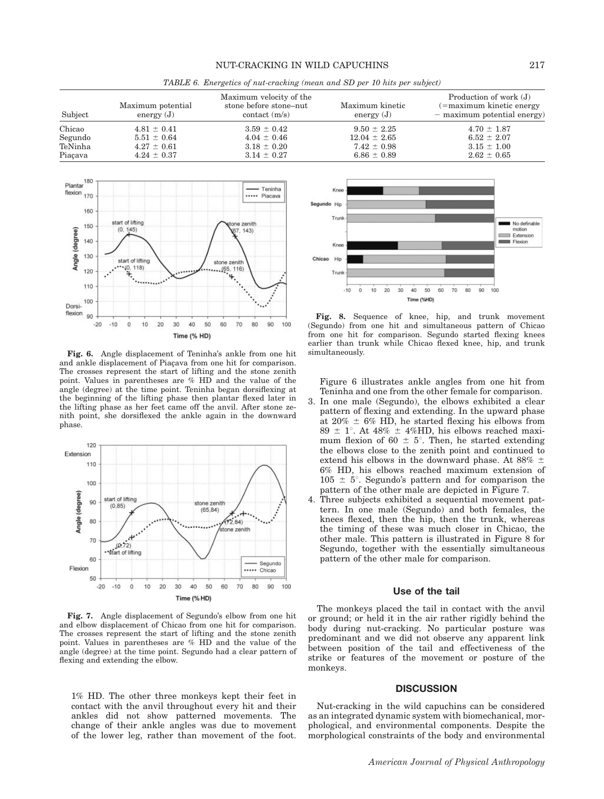# NUT-CRACKING IN WILD CAPUCHINS 217

|  | TABLE 6. Energetics of nut-cracking (mean and SD per 10 hits per subject) |  |  |  |
|--|---------------------------------------------------------------------------|--|--|--|
|  |                                                                           |  |  |  |

| Subject | Maximum potential<br>energy $(J)$ | Maximum velocity of the<br>stone before stone-nut<br>contact(m/s) | Maximum kinetic<br>energy $(J)$ | Production of work (J)<br>(=maximum kinetic energy)<br>$-$ maximum potential energy) |
|---------|-----------------------------------|-------------------------------------------------------------------|---------------------------------|--------------------------------------------------------------------------------------|
| Chicao  | $4.81 \pm 0.41$                   | $3.59 \pm 0.42$                                                   | $9.50 \pm 2.25$                 | $4.70 \pm 1.87$                                                                      |
| Segundo | $5.51 \pm 0.64$                   | $4.04 \pm 0.46$                                                   | $12.04 \pm 2.65$                | $6.52 \pm 2.07$                                                                      |
| TeNinha | $4.27 \pm 0.61$                   | $3.18 \pm 0.20$                                                   | $7.42 \pm 0.98$                 | $3.15 \pm 1.00$                                                                      |
| Piacava | $4.24 \pm 0.37$                   | $3.14 \pm 0.27$                                                   | $6.86 \pm 0.89$                 | $2.62 \pm 0.65$                                                                      |



Fig. 6. Angle displacement of Teninha's ankle from one hit and ankle displacement of Piacava from one hit for comparison. The crosses represent the start of lifting and the stone zenith point. Values in parentheses are % HD and the value of the angle (degree) at the time point. Teninha began dorsiflexing at the beginning of the lifting phase then plantar flexed later in the lifting phase as her feet came off the anvil. After stone zenith point, she dorsiflexed the ankle again in the downward phase.



Fig. 7. Angle displacement of Segundo's elbow from one hit and elbow displacement of Chicao from one hit for comparison. The crosses represent the start of lifting and the stone zenith point. Values in parentheses are % HD and the value of the angle (degree) at the time point. Segundo had a clear pattern of flexing and extending the elbow.

1% HD. The other three monkeys kept their feet in contact with the anvil throughout every hit and their ankles did not show patterned movements. The change of their ankle angles was due to movement of the lower leg, rather than movement of the foot.



Fig. 8. Sequence of knee, hip, and trunk movement (Segundo) from one hit and simultaneous pattern of Chicao from one hit for comparison. Segundo started flexing knees earlier than trunk while Chicao flexed knee, hip, and trunk simultaneously.

Figure 6 illustrates ankle angles from one hit from Teninha and one from the other female for comparison.

- 3. In one male (Segundo), the elbows exhibited a clear pattern of flexing and extending. In the upward phase at  $20\% \pm 6\%$  HD, he started flexing his elbows from 89  $\pm$  1°. At 48%  $\pm$  4%HD, his elbows reached maximum flexion of 60  $\pm$  5°. Then, he started extending the elbows close to the zenith point and continued to extend his elbows in the downward phase. At 88%  $\pm$ 6% HD, his elbows reached maximum extension of  $105 \pm 5^{\circ}$ . Segundo's pattern and for comparison the pattern of the other male are depicted in Figure 7.
- 4. Three subjects exhibited a sequential movement pattern. In one male (Segundo) and both females, the knees flexed, then the hip, then the trunk, whereas the timing of these was much closer in Chicao, the other male. This pattern is illustrated in Figure 8 for Segundo, together with the essentially simultaneous pattern of the other male for comparison.

# Use of the tail

The monkeys placed the tail in contact with the anvil or ground; or held it in the air rather rigidly behind the body during nut-cracking. No particular posture was predominant and we did not observe any apparent link between position of the tail and effectiveness of the strike or features of the movement or posture of the monkeys.

# **DISCUSSION**

Nut-cracking in the wild capuchins can be considered as an integrated dynamic system with biomechanical, morphological, and environmental components. Despite the morphological constraints of the body and environmental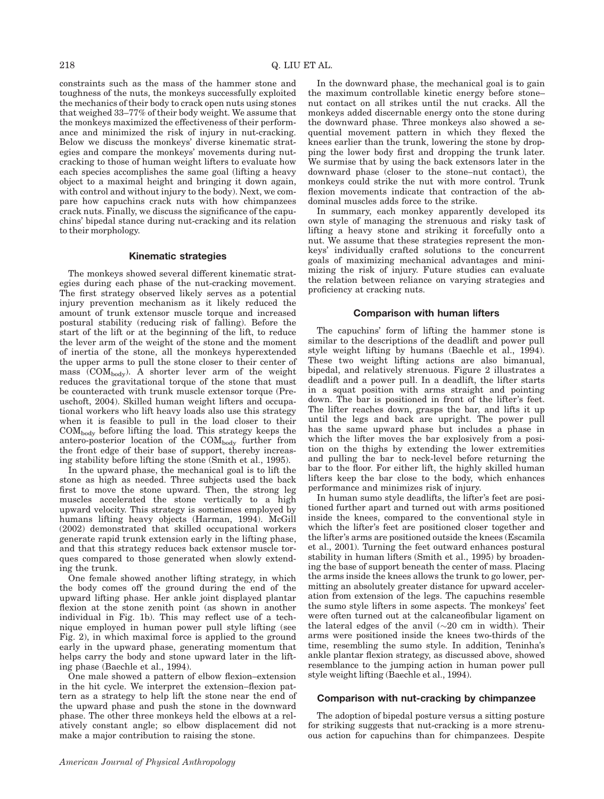constraints such as the mass of the hammer stone and toughness of the nuts, the monkeys successfully exploited the mechanics of their body to crack open nuts using stones that weighed 33–77% of their body weight. We assume that the monkeys maximized the effectiveness of their performance and minimized the risk of injury in nut-cracking. Below we discuss the monkeys' diverse kinematic strategies and compare the monkeys' movements during nutcracking to those of human weight lifters to evaluate how each species accomplishes the same goal (lifting a heavy object to a maximal height and bringing it down again, with control and without injury to the body). Next, we compare how capuchins crack nuts with how chimpanzees crack nuts. Finally, we discuss the significance of the capuchins' bipedal stance during nut-cracking and its relation to their morphology.

#### Kinematic strategies

The monkeys showed several different kinematic strategies during each phase of the nut-cracking movement. The first strategy observed likely serves as a potential injury prevention mechanism as it likely reduced the amount of trunk extensor muscle torque and increased postural stability (reducing risk of falling). Before the start of the lift or at the beginning of the lift, to reduce the lever arm of the weight of the stone and the moment of inertia of the stone, all the monkeys hyperextended the upper arms to pull the stone closer to their center of mass  $(COM_{body})$ . A shorter lever arm of the weight reduces the gravitational torque of the stone that must be counteracted with trunk muscle extensor torque (Preuschoft, 2004). Skilled human weight lifters and occupational workers who lift heavy loads also use this strategy when it is feasible to pull in the load closer to their  $COM_{body}$  before lifting the load. This strategy keeps the antero-posterior location of the  $COM_{body}$  further from the front edge of their base of support, thereby increasing stability before lifting the stone (Smith et al., 1995).

In the upward phase, the mechanical goal is to lift the stone as high as needed. Three subjects used the back first to move the stone upward. Then, the strong leg muscles accelerated the stone vertically to a high upward velocity. This strategy is sometimes employed by humans lifting heavy objects (Harman, 1994). McGill (2002) demonstrated that skilled occupational workers generate rapid trunk extension early in the lifting phase, and that this strategy reduces back extensor muscle torques compared to those generated when slowly extending the trunk.

One female showed another lifting strategy, in which the body comes off the ground during the end of the upward lifting phase. Her ankle joint displayed plantar flexion at the stone zenith point (as shown in another individual in Fig. 1b). This may reflect use of a technique employed in human power pull style lifting (see Fig. 2), in which maximal force is applied to the ground early in the upward phase, generating momentum that helps carry the body and stone upward later in the lifting phase (Baechle et al., 1994).

One male showed a pattern of elbow flexion–extension in the hit cycle. We interpret the extension–flexion pattern as a strategy to help lift the stone near the end of the upward phase and push the stone in the downward phase. The other three monkeys held the elbows at a relatively constant angle; so elbow displacement did not make a major contribution to raising the stone.

In the downward phase, the mechanical goal is to gain the maximum controllable kinetic energy before stone– nut contact on all strikes until the nut cracks. All the monkeys added discernable energy onto the stone during the downward phase. Three monkeys also showed a sequential movement pattern in which they flexed the knees earlier than the trunk, lowering the stone by dropping the lower body first and dropping the trunk later. We surmise that by using the back extensors later in the downward phase (closer to the stone–nut contact), the monkeys could strike the nut with more control. Trunk flexion movements indicate that contraction of the abdominal muscles adds force to the strike.

In summary, each monkey apparently developed its own style of managing the strenuous and risky task of lifting a heavy stone and striking it forcefully onto a nut. We assume that these strategies represent the monkeys' individually crafted solutions to the concurrent goals of maximizing mechanical advantages and minimizing the risk of injury. Future studies can evaluate the relation between reliance on varying strategies and proficiency at cracking nuts.

#### Comparison with human lifters

The capuchins' form of lifting the hammer stone is similar to the descriptions of the deadlift and power pull style weight lifting by humans (Baechle et al., 1994). These two weight lifting actions are also bimanual, bipedal, and relatively strenuous. Figure 2 illustrates a deadlift and a power pull. In a deadlift, the lifter starts in a squat position with arms straight and pointing down. The bar is positioned in front of the lifter's feet. The lifter reaches down, grasps the bar, and lifts it up until the legs and back are upright. The power pull has the same upward phase but includes a phase in which the lifter moves the bar explosively from a position on the thighs by extending the lower extremities and pulling the bar to neck-level before returning the bar to the floor. For either lift, the highly skilled human lifters keep the bar close to the body, which enhances performance and minimizes risk of injury.

In human sumo style deadlifts, the lifter's feet are positioned further apart and turned out with arms positioned inside the knees, compared to the conventional style in which the lifter's feet are positioned closer together and the lifter's arms are positioned outside the knees (Escamila et al., 2001). Turning the feet outward enhances postural stability in human lifters (Smith et al., 1995) by broadening the base of support beneath the center of mass. Placing the arms inside the knees allows the trunk to go lower, permitting an absolutely greater distance for upward acceleration from extension of the legs. The capuchins resemble the sumo style lifters in some aspects. The monkeys' feet were often turned out at the calcaneofibular ligament on the lateral edges of the anvil  $(\sim 20 \text{ cm} \text{ in width})$ . Their arms were positioned inside the knees two-thirds of the time, resembling the sumo style. In addition, Teninha's ankle plantar flexion strategy, as discussed above, showed resemblance to the jumping action in human power pull style weight lifting (Baechle et al., 1994).

### Comparison with nut-cracking by chimpanzee

The adoption of bipedal posture versus a sitting posture for striking suggests that nut-cracking is a more strenuous action for capuchins than for chimpanzees. Despite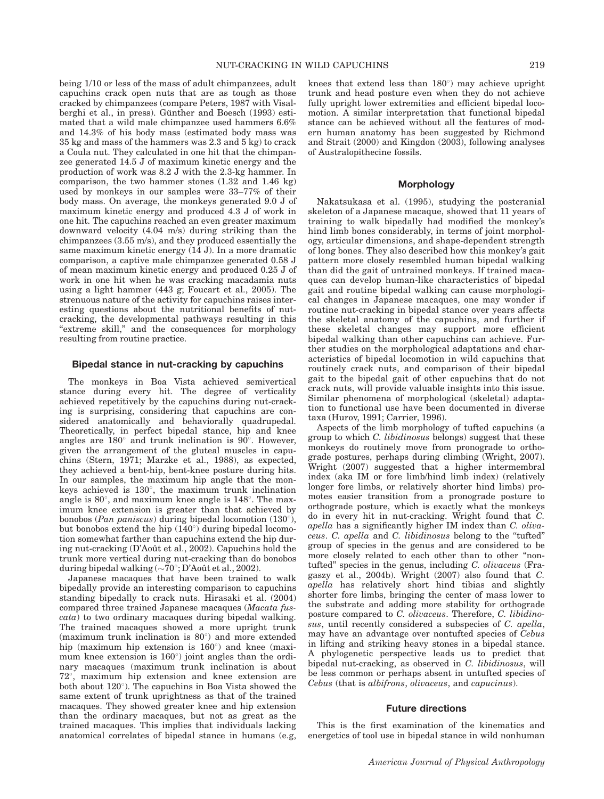being 1/10 or less of the mass of adult chimpanzees, adult capuchins crack open nuts that are as tough as those cracked by chimpanzees (compare Peters, 1987 with Visalberghi et al., in press). Günther and Boesch (1993) estimated that a wild male chimpanzee used hammers 6.6% and 14.3% of his body mass (estimated body mass was 35 kg and mass of the hammers was 2.3 and 5 kg) to crack a Coula nut. They calculated in one hit that the chimpanzee generated 14.5 J of maximum kinetic energy and the production of work was 8.2 J with the 2.3-kg hammer. In comparison, the two hammer stones (1.32 and 1.46 kg) used by monkeys in our samples were 33–77% of their body mass. On average, the monkeys generated 9.0 J of maximum kinetic energy and produced 4.3 J of work in one hit. The capuchins reached an even greater maximum downward velocity (4.04 m/s) during striking than the chimpanzees (3.55 m/s), and they produced essentially the same maximum kinetic energy (14 J). In a more dramatic comparison, a captive male chimpanzee generated 0.58 J of mean maximum kinetic energy and produced 0.25 J of work in one hit when he was cracking macadamia nuts using a light hammer (443 g; Foucart et al., 2005). The strenuous nature of the activity for capuchins raises interesting questions about the nutritional benefits of nutcracking, the developmental pathways resulting in this "extreme skill," and the consequences for morphology resulting from routine practice.

## Bipedal stance in nut-cracking by capuchins

The monkeys in Boa Vista achieved semivertical stance during every hit. The degree of verticality achieved repetitively by the capuchins during nut-cracking is surprising, considering that capuchins are considered anatomically and behaviorally quadrupedal. Theoretically, in perfect bipedal stance, hip and knee angles are  $180^\circ$  and trunk inclination is  $90^\circ$ . However, given the arrangement of the gluteal muscles in capuchins (Stern, 1971; Marzke et al., 1988), as expected, they achieved a bent-hip, bent-knee posture during hits. In our samples, the maximum hip angle that the monkeys achieved is  $130^\circ$ , the maximum trunk inclination angle is  $80^{\circ}$ , and maximum knee angle is  $148^{\circ}$ . The maximum knee extension is greater than that achieved by bonobos (Pan paniscus) during bipedal locomotion (130 $^{\circ}$ ), but bonobos extend the hip  $(140^{\circ})$  during bipedal locomotion somewhat farther than capuchins extend the hip during nut-cracking (D'Août et al., 2002). Capuchins hold the trunk more vertical during nut-cracking than do bonobos during bipedal walking  $(\sim 70^\circ; D'$ Août et al., 2002).

Japanese macaques that have been trained to walk bipedally provide an interesting comparison to capuchins standing bipedally to crack nuts. Hirasaki et al. (2004) compared three trained Japanese macaques (Macata fuscata) to two ordinary macaques during bipedal walking. The trained macaques showed a more upright trunk (maximum trunk inclination is  $80^\circ$ ) and more extended hip (maximum hip extension is  $160^{\circ}$ ) and knee (maximum knee extension is  $160^{\circ}$ ) joint angles than the ordinary macaques (maximum trunk inclination is about  $72^{\circ}$ , maximum hip extension and knee extension are both about  $120^{\circ}$ ). The capuchins in Boa Vista showed the same extent of trunk uprightness as that of the trained macaques. They showed greater knee and hip extension than the ordinary macaques, but not as great as the trained macaques. This implies that individuals lacking anatomical correlates of bipedal stance in humans (e.g,

knees that extend less than  $180^{\circ}$  may achieve upright trunk and head posture even when they do not achieve fully upright lower extremities and efficient bipedal locomotion. A similar interpretation that functional bipedal stance can be achieved without all the features of modern human anatomy has been suggested by Richmond and Strait (2000) and Kingdon (2003), following analyses of Australopithecine fossils.

### Morphology

Nakatsukasa et al. (1995), studying the postcranial skeleton of a Japanese macaque, showed that 11 years of training to walk bipedally had modified the monkey's hind limb bones considerably, in terms of joint morphology, articular dimensions, and shape-dependent strength of long bones. They also described how this monkey's gait pattern more closely resembled human bipedal walking than did the gait of untrained monkeys. If trained macaques can develop human-like characteristics of bipedal gait and routine bipedal walking can cause morphological changes in Japanese macaques, one may wonder if routine nut-cracking in bipedal stance over years affects the skeletal anatomy of the capuchins, and further if these skeletal changes may support more efficient bipedal walking than other capuchins can achieve. Further studies on the morphological adaptations and characteristics of bipedal locomotion in wild capuchins that routinely crack nuts, and comparison of their bipedal gait to the bipedal gait of other capuchins that do not crack nuts, will provide valuable insights into this issue. Similar phenomena of morphological (skeletal) adaptation to functional use have been documented in diverse taxa (Hurov, 1991; Carrier, 1996).

Aspects of the limb morphology of tufted capuchins (a group to which C. libidinosus belongs) suggest that these monkeys do routinely move from pronograde to orthograde postures, perhaps during climbing (Wright, 2007). Wright (2007) suggested that a higher intermembral index (aka IM or fore limb/hind limb index) (relatively longer fore limbs, or relatively shorter hind limbs) promotes easier transition from a pronograde posture to orthograde posture, which is exactly what the monkeys do in every hit in nut-cracking. Wright found that C. apella has a significantly higher IM index than C. olivaceus. C. apella and C. libidinosus belong to the ''tufted'' group of species in the genus and are considered to be more closely related to each other than to other ''nontufted'' species in the genus, including C. olivaceus (Fragaszy et al., 2004b). Wright (2007) also found that C. apella has relatively short hind tibias and slightly shorter fore limbs, bringing the center of mass lower to the substrate and adding more stability for orthograde posture compared to C. olivaceus. Therefore, C. libidinosus, until recently considered a subspecies of C. apella, may have an advantage over nontufted species of Cebus in lifting and striking heavy stones in a bipedal stance. A phylogenetic perspective leads us to predict that bipedal nut-cracking, as observed in C. libidinosus, will be less common or perhaps absent in untufted species of Cebus (that is albifrons, olivaceus, and capucinus).

#### Future directions

This is the first examination of the kinematics and energetics of tool use in bipedal stance in wild nonhuman